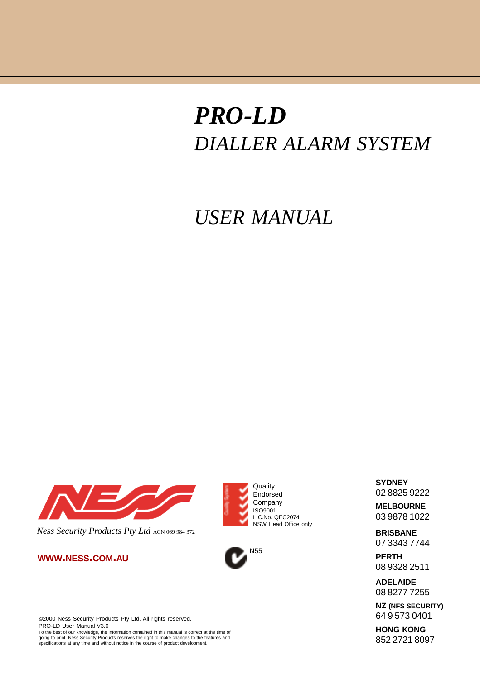# *PRO-LD DIALLER ALARM SYSTEM*

### *USER MANUAL*



*Ness Security Products Pty Ltd* ACN 069 984 372

**WWW.NESS.COM.AU**



To the best of our knowledge, the information contained in this manual is correct at the time of going to print. Ness Security Products reserves the right to make changes to the features and specifications at any time and without notice in the course of product development.





**SYDNEY** 02 8825 9222

**MELBOURNE** 03 9878 1022

**BRISBANE** 07 3343 7744

**PERTH** 08 9328 2511

**ADELAIDE** 08 8277 7255

**NZ (NFS SECURITY)** 64 9 573 0401

**HONG KONG** 852 2721 8097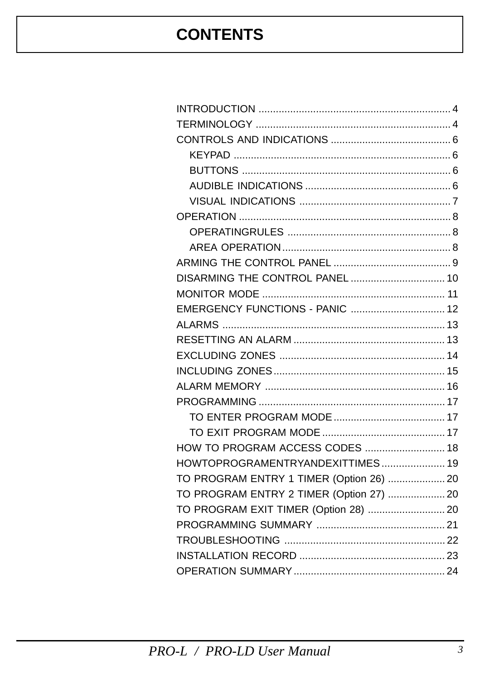# **CONTENTS**

| DISARMING THE CONTROL PANEL  10          |  |
|------------------------------------------|--|
|                                          |  |
| EMERGENCY FUNCTIONS - PANIC  12          |  |
|                                          |  |
|                                          |  |
|                                          |  |
|                                          |  |
|                                          |  |
|                                          |  |
|                                          |  |
|                                          |  |
| HOW TO PROGRAM ACCESS CODES  18          |  |
| HOWTOPROGRAMENTRYANDEXITTIMES 19         |  |
| TO PROGRAM ENTRY 1 TIMER (Option 26)  20 |  |
| TO PROGRAM ENTRY 2 TIMER (Option 27)  20 |  |
| TO PROGRAM EXIT TIMER (Option 28)  20    |  |
|                                          |  |
|                                          |  |
|                                          |  |
|                                          |  |
|                                          |  |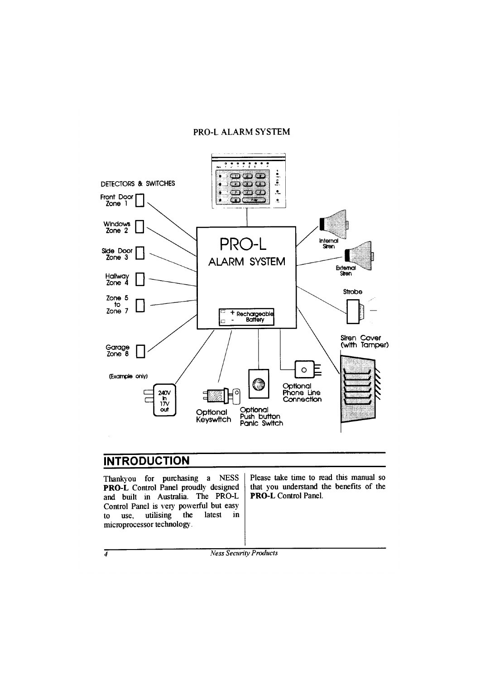#### **PRO-LALARM SYSTEM**



#### **INTRODUCTION**

Thankyou for purchasing a **NESS PRO-L** Control Panel proudly designed and built in Australia. The PRO-L Control Panel is very powerful but easy utilising the latest  $\mathbf{f}$ use. in microprocessor technology.

Please take time to read this manual so that you understand the benefits of the **PRO-L** Control Panel.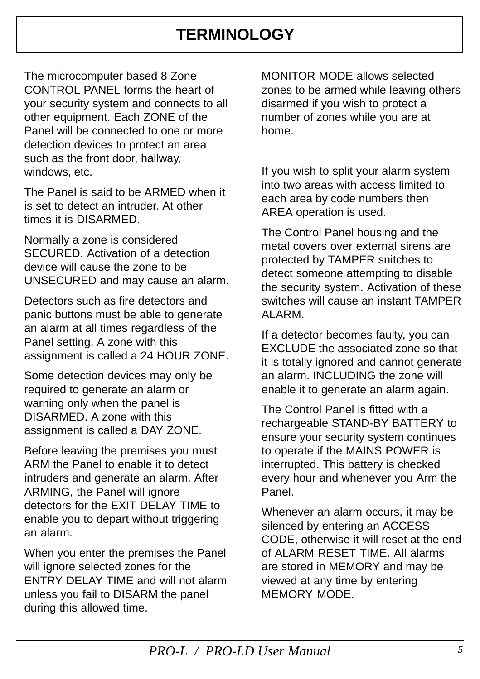#### **TERMINOLOGY**

<span id="page-3-0"></span>The microcomputer based 8 Zone CONTROL PANEL forms the heart of your security system and connects to all other equipment. Each ZONE of the Panel will be connected to one or more detection devices to protect an area such as the front door, hallway, windows, etc.

The Panel is said to be ARMED when it is set to detect an intruder. At other times it is DISARMED.

Normally a zone is considered SECURED. Activation of a detection device will cause the zone to be UNSECURED and may cause an alarm.

Detectors such as fire detectors and panic buttons must be able to generate an alarm at all times regardless of the Panel setting. A zone with this assignment is called a 24 HOUR ZONE.

Some detection devices may only be required to generate an alarm or warning only when the panel is DISARMED. A zone with this assignment is called a DAY ZONE.

Before leaving the premises you must ARM the Panel to enable it to detect intruders and generate an alarm. After ARMING, the Panel will ignore detectors for the EXIT DELAY TIME to enable you to depart without triggering an alarm.

When you enter the premises the Panel will ignore selected zones for the ENTRY DELAY TIME and will not alarm unless you fail to DISARM the panel during this allowed time.

MONITOR MODE allows selected zones to be armed while leaving others disarmed if you wish to protect a number of zones while you are at home.

If you wish to split your alarm system into two areas with access limited to each area by code numbers then AREA operation is used.

The Control Panel housing and the metal covers over external sirens are protected by TAMPER snitches to detect someone attempting to disable the security system. Activation of these switches will cause an instant TAMPER ALARM.

If a detector becomes faulty, you can EXCLUDE the associated zone so that it is totally ignored and cannot generate an alarm. INCLUDING the zone will enable it to generate an alarm again.

The Control Panel is fitted with a rechargeable STAND-BY BATTERY to ensure your security system continues to operate if the MAINS POWER is interrupted. This battery is checked every hour and whenever you Arm the Panel.

Whenever an alarm occurs, it may be silenced by entering an ACCESS CODE, otherwise it will reset at the end of ALARM RESET TIME. All alarms are stored in MEMORY and may be viewed at any time by entering MEMORY MODE.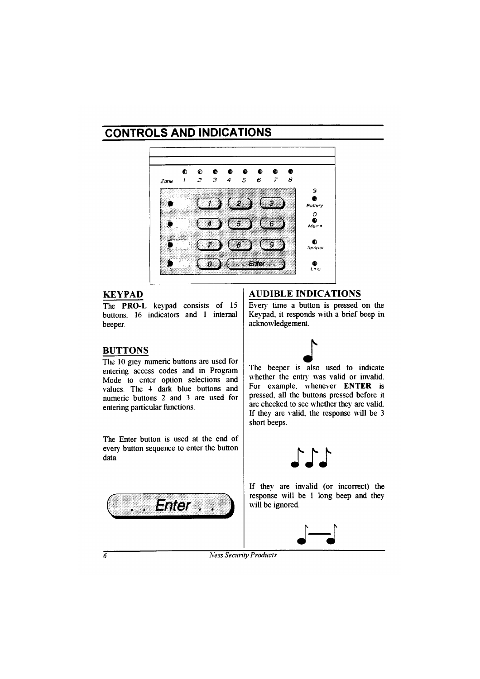### **CONTROLS AND INDICATIONS**



#### **KEYPAD**

The **PRO-L** keypad consists of 15 buttons. 16 indicators and 1 internal beeper.

#### **BUTTONS**

The 10 grey numeric buttons are used for entering access codes and in Program Mode to enter option selections and values The 4 dark blue buttons and numeric buttons 2 and 3 are used for entering particular functions.

The Enter button is used at the end of every button sequence to enter the button data.



#### **AUDIBLE INDICATIONS**

Every time a button is pressed on the Keypad, it responds with a brief beep in acknowledgement.



The beeper is also used to indicate whether the entry was valid or invalid. For example, whenever ENTER is pressed, all the buttons pressed before it are checked to see whether they are valid. If they are valid, the response will be 3 short beeps.



If they are invalid (or incorrect) the response will be 1 long beep and they will be ignored.

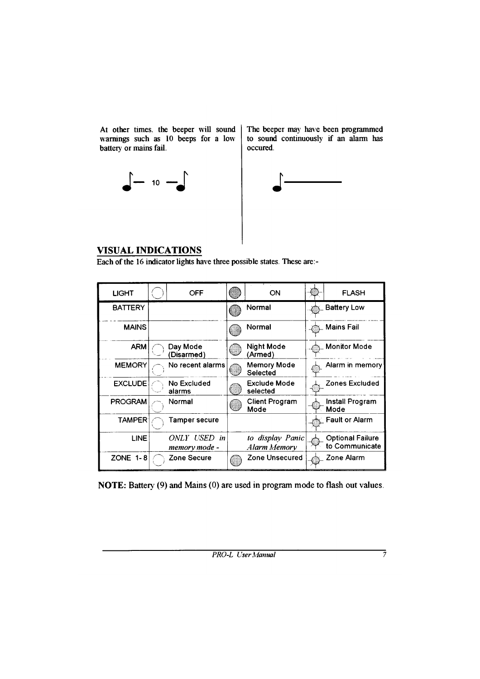At other times, the beeper will sound warnings such as 10 beeps for a low battery or mains fail.

 $\begin{bmatrix} - & & & & \\ & & 10 & - & \\ & & & & \end{bmatrix}$ 

The beeper may have been programmed to sound continuously if an alarm has occured.



#### **VISUAL INDICATIONS**

Each of the 16 indicator lights have three possible states. These are:-

| <b>LIGHT</b>    | OFF                           | ON                               | <b>FLASH</b>                              |
|-----------------|-------------------------------|----------------------------------|-------------------------------------------|
| <b>BATTERY</b>  |                               | Normal                           | <b>Battery Low</b>                        |
| <b>MAINS</b>    |                               | Normal                           | <b>Mains Fail</b>                         |
| <b>ARM</b>      | Day Mode<br>'Disarmed'        | Night Mode<br>(Armed)            | <b>Monitor Mode</b>                       |
| <b>MEMORY</b>   | No recent alarms              | <b>Memory Mode</b><br>Selected   | Alarm in memory                           |
| <b>EXCLUDE</b>  | No Excluded<br>alarms         | <b>Exclude Mode</b><br>selected  | Zones Excluded                            |
| <b>PROGRAM</b>  | Normal                        | <b>Client Program</b><br>Mode    | Install Program<br>Mode                   |
| <b>TAMPER</b>   | Tamper secure                 |                                  | <b>Fault or Alarm</b>                     |
| <b>LINE</b>     | ONLY USED in<br>memory mode - | to display Panic<br>Alarm Memory | <b>Optional Failure</b><br>to Communicate |
| <b>ZONE 1-8</b> | Zone Secure                   | Zone Unsecured                   | Zone Alarm                                |

NOTE: Battery (9) and Mains (0) are used in program mode to flash out values.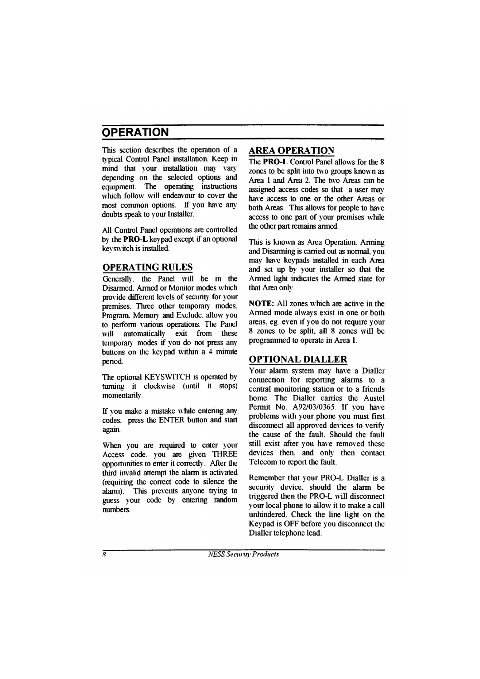# **OPERATION**

This section describes the operation of a typical Control Panel installation. Keep in mind that your installation may vary depending on the selected options and equipment. The operating instructions which follow will endeavour to cover the most common options. If you have any doubts speak to your Installer.

All Control Panel operations are controlled by the **PRO-L** keypad except if an optional key switch is installed.

#### **OPERATING RULES**

Generally, the Panel will be in the Disarmed. Armed or Monitor modes which provide different levels of security for your premises. Three other temporary modes. Program, Memory and Exclude, allow you to perform various operations. The Panel will automatically exit from these temporary modes if you do not press any buttons on the keypad within a 4 minute period.

The optional KEYSWITCH is operated by turning it clockwise (until it stops) momentarily.

If you make a mistake while entering any codes, press the ENTER button and start again.

When you are required to enter your Access code. you are given THREE opportunities to enter it correctly. After the third invalid attempt the alarm is activated (requiring the correct code to silence the alarm). This prevents anyone trying to guess your code by entering random **numbers** 

#### **AREA OPERATION**

The **PRO-L** Control Panel allows for the 8 zones to be split into two groups known as Area 1 and Area 2. The two Areas can be assigned access codes so that a user may have access to one or the other Areas or both Areas. This allows for people to have access to one part of your premises while the other part remains armed.

This is known as Area Operation. Arming and Disarming is carried out as normal, you may have keypads installed in each Area and set up by your installer so that the Armed light indicates the Armed state for that Area only.

**NOTE:** All zones which are active in the Armed mode always exist in one or both areas, eg. even if you do not require your 8 zones to be split, all 8 zones will be programmed to operate in Area 1.

#### **OPTIONAL DIALLER**

Your alarm system may have a Dialler connection for reporting alarms to a central monitoring station or to a friends home. The Dialler carries the Austel Permit No. A92/03/0365. If you have problems with your phone you must first disconnect all approved devices to verify the cause of the fault. Should the fault still exist after you have removed these devices then, and only then contact Telecom to report the fault.

Remember that your PRO-L Dialler is a security device, should the alarm be triggered then the PRO-L will disconnect your local phone to allow it to make a call unhindered. Check the line light on the Keypad is OFF before you disconnect the Dialler telephone lead.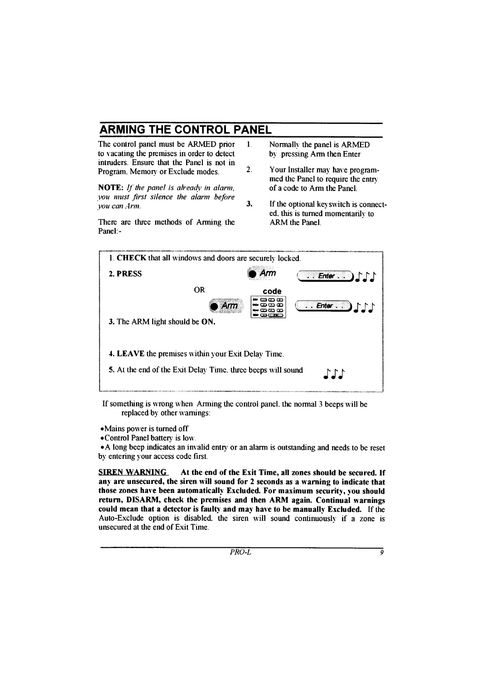# **ARMING THE CONTROL PANEL**

The control panel must be ARMED prior to vacating the premises in order to detect intruders Ensure that the Panel is not in Program, Memory or Exclude modes

**NOTE:** If the panel is already in alarm. you must first silence the alarm before vou can Arm.

There are three methods of Arming the Panel -

- $\mathbf{1}$ Normally the panel is ARMED by pressing Arm then Enter
- $\mathcal{L}$ Your Installer may have programmed the Panel to require the entry of a code to Arm the Panel
- $\overline{\mathbf{3}}$ . If the optional keyswitch is connected, this is turned momentarily to **ARM** the Panel



If something is wrong when Arming the control panel, the normal 3 beeps will be replaced by other warnings:

• Mains power is turned off

• Control Panel battery is low.

• A long beep indicates an invalid entry or an alarm is outstanding and needs to be reset by entering your access code first.

**SIREN WARNING** At the end of the Exit Time, all zones should be secured. If any are unsecured, the siren will sound for 2 seconds as a warning to indicate that those zones have been automatically Excluded. For maximum security, you should return, DISARM, check the premises and then ARM again. Continual warnings could mean that a detector is faulty and may have to be manually Excluded. If the Auto-Exclude option is disabled, the siren will sound continuously if a zone is unsecured at the end of Exit Time.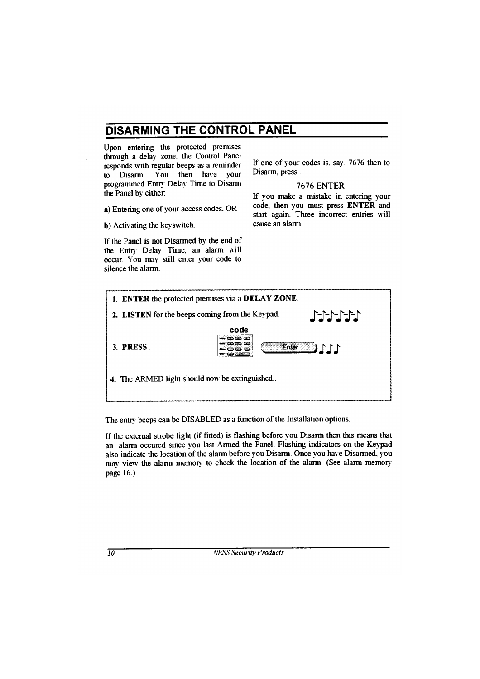### DISARMING THE CONTROL PANEL

Upon entering the protected premises through a delay zone, the Control Panel responds with regular beeps as a reminder You then have your  $\overrightarrow{a}$  Disarm programmed Entry Delay Time to Disarm the Panel by either:

a) Entering one of your access codes, OR

**b**) Activating the keyswitch.

If the Panel is not Disarmed by the end of the Entry Delay Time, an alarm will occur. You may still enter your code to silence the alarm

If one of your codes is, say, 7676 then to Disarm. press...

#### **7676 ENTER**

If you make a mistake in entering your code, then you must press ENTER and start again. Three incorrect entries will cause an alarm

| 1. ENTER the protected premises via a DELAY ZONE.                                                               |                                   |                                  |  |  |
|-----------------------------------------------------------------------------------------------------------------|-----------------------------------|----------------------------------|--|--|
| $\begin{bmatrix} -1 & -1 & -1 \\ -1 & -1 & -1 \end{bmatrix}$<br>2. LISTEN for the beeps coming from the Keypad. |                                   |                                  |  |  |
|                                                                                                                 | code                              |                                  |  |  |
| 3. PRESS                                                                                                        | <b>CDCDCD</b><br>താനാ<br>කො කො කො | $\ldots$ Enter $\ldots$ )<br>111 |  |  |
| 4. The ARMED light should now be extinguished                                                                   |                                   |                                  |  |  |
|                                                                                                                 |                                   |                                  |  |  |

The entry beeps can be DISABLED as a function of the Installation options.

If the external strobe light (if fitted) is flashing before you Disarm then this means that an alarm occured since you last Armed the Panel. Flashing indicators on the Keypad also indicate the location of the alarm before you Disarm. Once you have Disarmed, you may view the alarm memory to check the location of the alarm. (See alarm memory page 16.)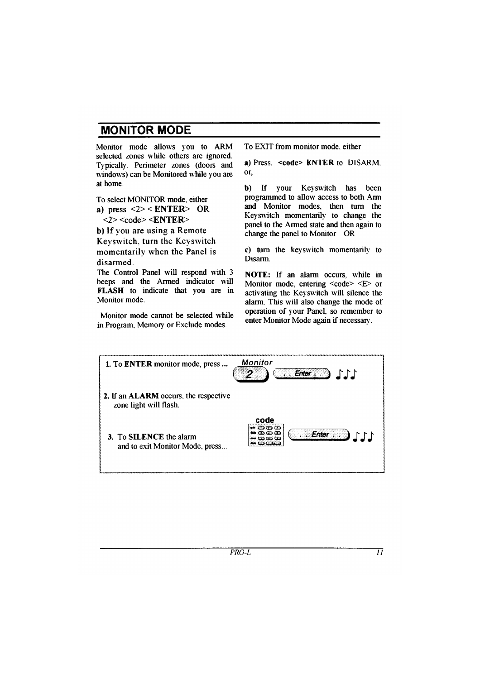### **MONITOR MODE**

Monitor mode allows you to ARM selected zones while others are ignored. Typically. Perimeter zones (doors and windows) can be Monitored while you are at home

To select MONITOR mode, either a) press  $\leq 2$  >  $\leq$  ENTER > OR  $\langle 2 \rangle \langle 2 \rangle$ b) If you are using a Remote

Keyswitch, turn the Keyswitch momentarily when the Panel is disarmed

The Control Panel will respond with 3 beens and the Armed indicator will **FLASH** to indicate that you are in Monitor mode.

Monitor mode cannot be selected while in Program. Memory or Exclude modes.

To EXIT from monitor mode either

a) Press <code> ENTER to DISARM or.

your Keyswitch has been b)  $\mathbf{If}$ programmed to allow access to both Arm and Monitor modes then turn the Keyswitch momentarily to change the panel to the Armed state and then again to change the panel to Monitor OR

c) turn the keyswitch momentarily to Disarm.

NOTE: If an alarm occurs, while in Monitor mode, entering  $\leq$ code>  $\leq$ E> or activating the Keyswitch will silence the alarm. This will also change the mode of operation of your Panel, so remember to enter Monitor Mode again if necessary.

| 1. To ENTER monitor mode, press                                        | <b>Monitor</b><br>111<br>$.$ Enter $.$ $.$ |
|------------------------------------------------------------------------|--------------------------------------------|
| 2. If an <b>ALARM</b> occurs, the respective<br>zone light will flash. |                                            |
| 3. To SILENCE the alarm<br>and to exit Monitor Mode, press             | code<br>aoo<br>ා ගා ග<br>[Enter, . ]<br>തത |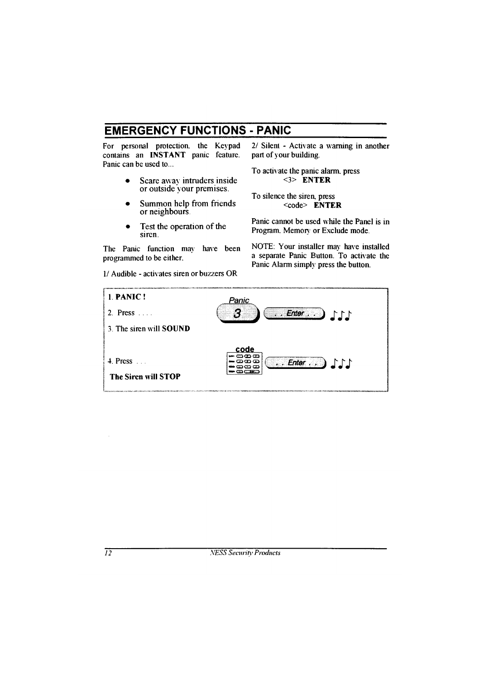### **EMERGENCY FUNCTIONS - PANIC**

For personal protection, the Keypad contains an **INSTANT** panic feature. Panic can be used to

- Scare away intruders inside or outside your premises.
- Summon help from friends or neighbours.
- Test the operation of the siren

The Panic function may have been programmed to be either.

1/ Audible - activates siren or buzzers OR

2/ Silent - Activate a warning in another part of your building.

To activate the panic alarm, press  $<$ 3> ENTER

To silence the siren, press  $<$ code> ENTER

Panic cannot be used while the Panel is in Program. Memory or Exclude mode.

NOTE: Your installer may have installed a separate Panic Button. To activate the Panic Alarm simply press the button.

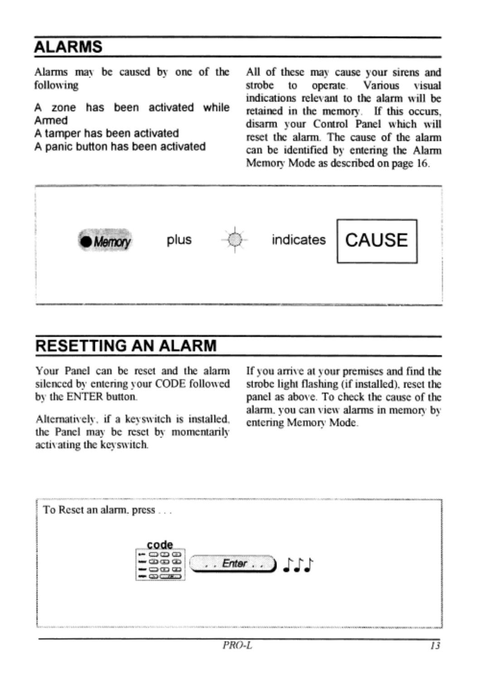### **ALARMS**

Alarms may be caused by one of the All of these may cause your sirens and following strobe to operate. Various visual indications relevant to the alarm will be A zone has been activated while retained in the memory. If this occurs, Armed disarm your Control Panel which will A tamper has been activated reset the alarm. The cause of the alarm A panic button has been activated can be identified by entering the Alarm Memory Mode as described on page 16.



#### **RESETTING AN ALARM**

Your Panel can be reset and the alarm silenced by entering your CODE followed by the ENTER button.

Alternatively, if a keyswitch is installed, the Panel may be reset by momentarily activating the keyswitch.

If you arrive at your premises and find the strobe light flashing (if installed), reset the panel as above. To check the cause of the alarm, you can view alarms in memory by entering Memory Mode.

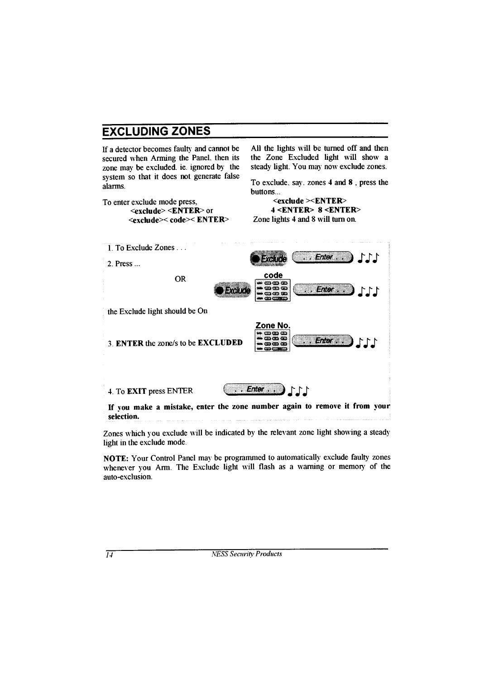### **EXCLUDING ZONES**

If a detector becomes faulty and cannot be secured when Arming the Panel. then its zone may be excluded, ie, ignored by the system so that it does not generate false alarms.

To enter exclude mode press,  $\le$ exclude> $\le$ ENTER> or <exclude>< code>< ENTER> All the lights will be turned off and then the Zone Excluded light will show a steady light. You may now exclude zones.

To exclude, say, zones 4 and 8, press the huttons

Enter ...

 $\cdot$  Enter  $\cdot$   $\cdot$   $\cdot$   $\cdot$   $\cdot$ 

 $111$ 

 $<$ exclude  $><$ ENTER $>$  $4 <$ ENTER> 8 <ENTER> Zone lights 4 and 8 will turn on.

- 1 To Exclude Zones
- 2 Press  $\ldots$

**OR** 



- the Exclude light should be On
- **3 ENTER the zone/s to be EXCLUDED**
- 4. To **EXIT** press ENTER



Zone No

If you make a mistake, enter the zone number again to remove it from your selection.

Zones which you exclude will be indicated by the relevant zone light showing a steady light in the exclude mode.

NOTE: Your Control Panel may be programmed to automatically exclude faulty zones whenever you Arm. The Exclude light will flash as a warning or memory of the auto-exclusion.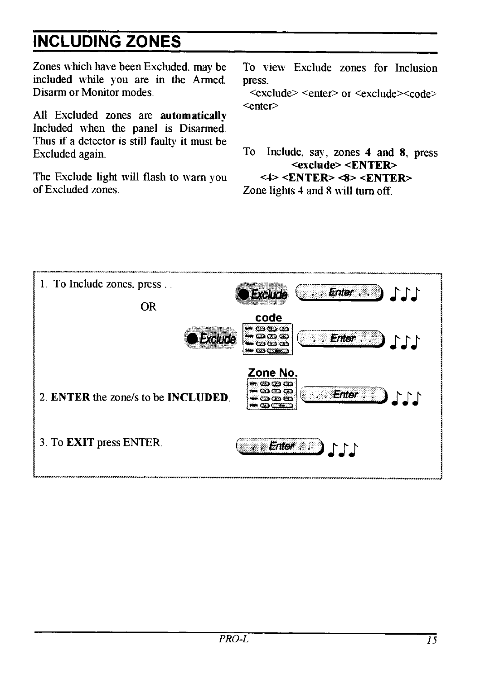# **INCLUDING ZONES**

Zones which have been Excluded, may be included while you are in the Armed. Disarm or Monitor modes

All Excluded zones are automatically Included when the panel is Disarmed. Thus if a detector is still faulty it must be Excluded again.

The Exclude light will flash to warn you of Excluded zones

To view Exclude zones for Inclusion press

<exclude> <enter> or <exclude><code> <enter>

To Include, say, zones 4 and 8, press <exclude> <ENTER>  $\langle 4 \rangle$  <ENTER> $\langle 8 \rangle$  <ENTER> Zone lights 4 and 8 will turn off.

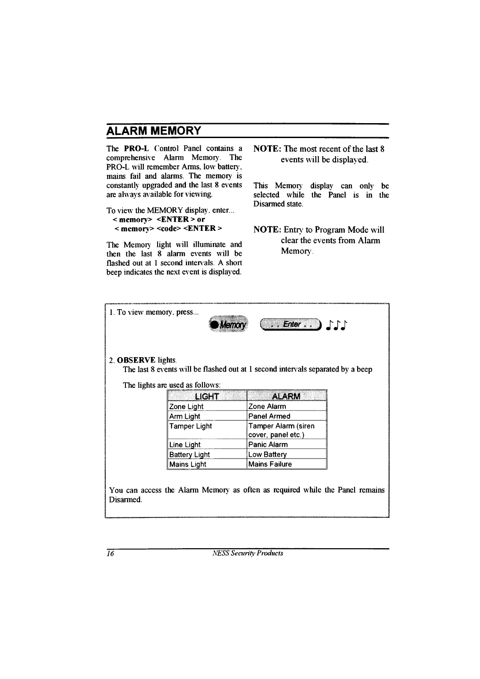### **ALARM MEMORY**

The PRO-L Control Panel contains a comprehensive Alarm Memory. **The** PRO-L will remember Arms, low battery. mains fail and alarms. The memory is constantly upgraded and the last 8 events are always available for viewing.

#### To view the MEMORY display, enter...  $\leq$  memory>  $\leq$  ENTER > or  $\leq$  memory>  $\leq$ code>  $\leq$ ENTER >

The Memory light will illuminate and then the last 8 alarm events will be flashed out at 1 second intervals. A short beep indicates the next event is displayed.

**NOTE:** The most recent of the last  $\theta$ events will be displayed.

display can only This Memory be selected while the Panel is in the Disarmed state

**NOTE:** Entry to Program Mode will clear the events from Alarm Memory.

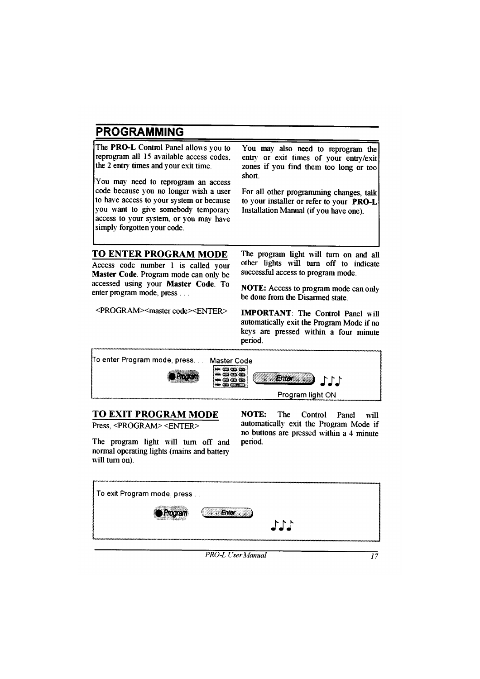### **PROGRAMMING**

The **PRO-L** Control Panel allows you to reprogram all 15 available access codes the 2 entry times and your exit time.

You may need to reprogram an access code because vou no longer wish a user to have access to your system or because you want to give somebody temporary access to your system, or you may have simply forgotten your code.

You may also need to reprogram the entry or exit times of your entry/exit zones if you find them too long or too short

For all other programming changes, talk to your installer or refer to your  $PRO-I$ . Installation Manual (if you have one)

#### **TO ENTER PROGRAM MODE**

Access code number 1 is called your Master Code. Program mode can only be accessed using your Master Code. To enter program mode, press...

<PROGRAM><master code><ENTER>

The program light will turn on and all other lights will turn off to indicate successful access to program mode.

**NOTE:** Access to program mode can only be done from the Disarmed state

**IMPORTANT:** The Control Panel will automatically exit the Program Mode if no keys are pressed within a four minute period.



#### **TO EXIT PROGRAM MODE**

Press <PROGRAM> <FNTFR>

The program light will turn off and normal operating lights (mains and battery will turn on).

**NOTE:** The Control Panel will automatically exit the Program Mode if no buttons are pressed within a 4 minute period.

| To exit Program mode, press |     |
|-----------------------------|-----|
| Program                     |     |
|                             | 111 |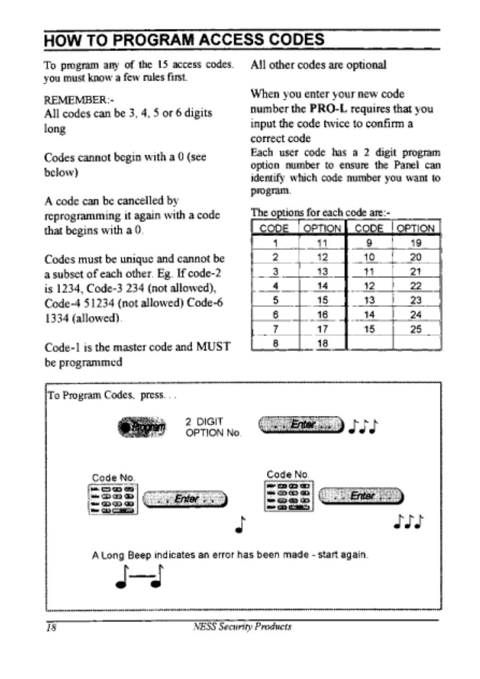### **HOW TO PROGRAM ACCESS CODES**

To program any of the 15 access codes. you must know a few rules first

#### REMEMBER:-

All codes can be 3, 4, 5 or 6 digits long

Codes cannot begin with a 0 (see below)

A code can be cancelled by reprogramming it again with a code that begins with a 0.

Codes must be unique and cannot be a subset of each other. Eg. If code-2 is 1234, Code-3 234 (not allowed), Code-4 51234 (not allowed) Code-6 1334 (allowed).

Code-1 is the master code and MUST be programmed

All other codes are optional

When you enter your new code number the PRO-L requires that you input the code twice to confirm a correct code

Each user code has a 2 digit program option number to ensure the Panel can identify which code number you want to program.

The options for each code are:-

| CODE | OPTION CODE |    | OPTION  |
|------|-------------|----|---------|
|      |             |    | 19      |
|      | 12          | 10 | 20      |
| 3    | 13          | 11 | 21      |
|      | 14          | 12 | 22      |
| 5    | 15          | 13 | 23      |
| 6    | 16          |    | $^{24}$ |
|      |             | 15 | 25      |
|      | l8          |    |         |

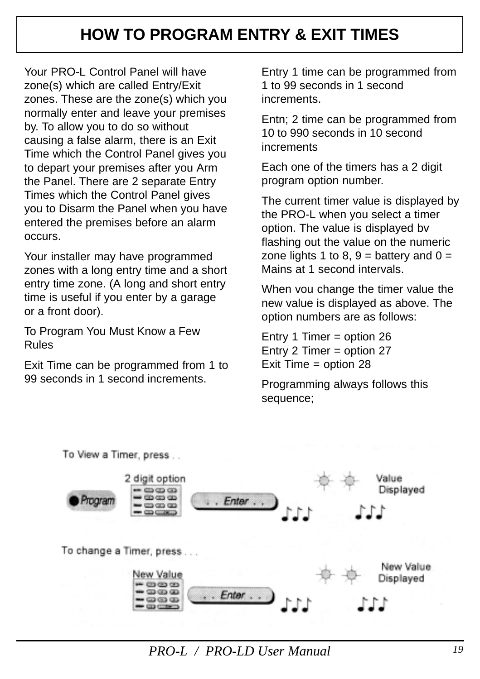#### **HOW TO PROGRAM ENTRY & EXIT TIMES**

<span id="page-17-0"></span>Your PRO-L Control Panel will have zone(s) which are called Entry/Exit zones. These are the zone(s) which you normally enter and leave your premises by. To allow you to do so without causing a false alarm, there is an Exit Time which the Control Panel gives you to depart your premises after you Arm the Panel. There are 2 separate Entry Times which the Control Panel gives you to Disarm the Panel when you have entered the premises before an alarm occurs.

Your installer may have programmed zones with a long entry time and a short entry time zone. (A long and short entry time is useful if you enter by a garage or a front door).

To Program You Must Know a Few Rules

Exit Time can be programmed from 1 to 99 seconds in 1 second increments.

Entry 1 time can be programmed from 1 to 99 seconds in 1 second increments.

Entn; 2 time can be programmed from 10 to 990 seconds in 10 second increments

Each one of the timers has a 2 digit program option number.

The current timer value is displayed by the PRO-L when you select a timer option. The value is displayed bv flashing out the value on the numeric zone lights 1 to 8,  $9 =$  battery and  $0 =$ Mains at 1 second intervals.

When vou change the timer value the new value is displayed as above. The option numbers are as follows:

Entry 1 Timer = option 26 Entry 2 Timer = option 27 Exit Time = option 28

Programming always follows this sequence;



*PRO-L / PRO-LD User Manual 19*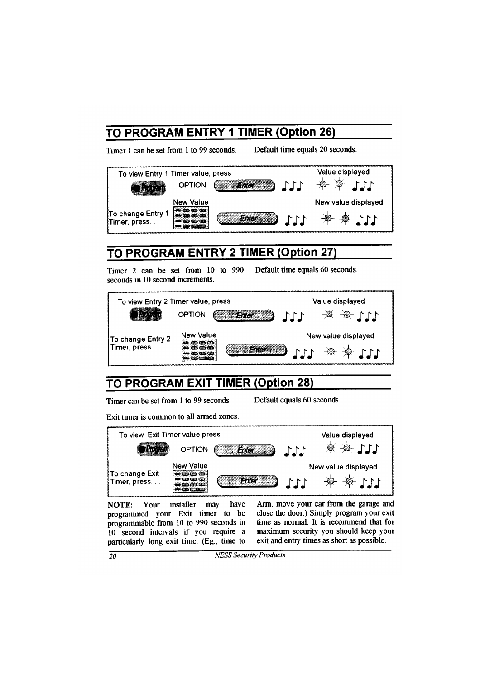### TO PROGRAM ENTRY 1 TIMER (Option 26)

Timer 1 can be set from 1 to 99 seconds.

Default time equals 20 seconds.



## TO PROGRAM ENTRY 2 TIMER (Option 27)

Timer 2 can be set from 10 to 990 Default time equals 60 seconds. seconds in 10 second increments.



# TO PROGRAM EXIT TIMER (Option 28)

Timer can be set from 1 to 99 seconds.

Default equals 60 seconds.

Exit timer is common to all armed zones.



NOTE: Your installer may have programmed your Exit timer to be programmable from 10 to 990 seconds in 10 second intervals if you require a particularly long exit time. (Eg., time to

Arm, move your car from the garage and close the door.) Simply program your exit time as normal. It is recommend that for maximum security you should keep your exit and entry times as short as possible.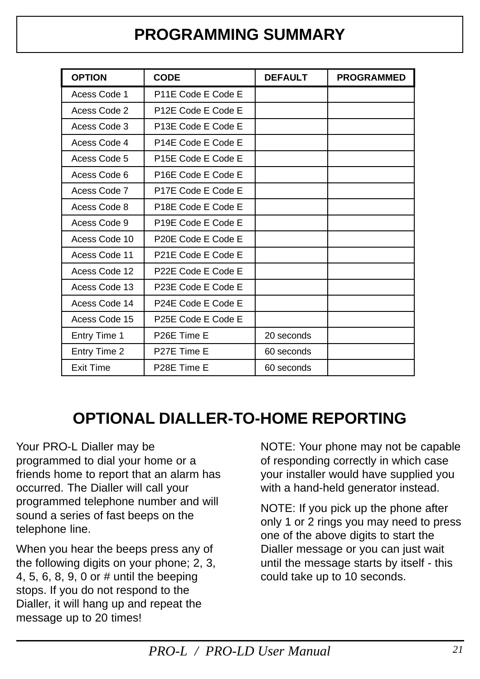#### **PROGRAMMING SUMMARY**

<span id="page-19-0"></span>

| <b>OPTION</b>    | <b>CODE</b>                     | <b>DEFAULT</b> | <b>PROGRAMMED</b> |
|------------------|---------------------------------|----------------|-------------------|
| Acess Code 1     | P11E Code E Code E              |                |                   |
| Acess Code 2     | P12E Code E Code E              |                |                   |
| Acess Code 3     | P13E Code E Code E              |                |                   |
| Acess Code 4     | P14E Code E Code E              |                |                   |
| Acess Code 5     | P <sub>15</sub> E Code E Code E |                |                   |
| Acess Code 6     | P <sub>16</sub> E Code E Code E |                |                   |
| Acess Code 7     | P17E Code E Code E              |                |                   |
| Acess Code 8     | P18E Code E Code E              |                |                   |
| Acess Code 9     | P19E Code E Code E              |                |                   |
| Acess Code 10    | P20E Code E Code E              |                |                   |
| Acess Code 11    | P21E Code E Code E              |                |                   |
| Acess Code 12    | P22E Code E Code E              |                |                   |
| Acess Code 13    | P23E Code E Code E              |                |                   |
| Acess Code 14    | P24E Code E Code E              |                |                   |
| Acess Code 15    | P25E Code E Code E              |                |                   |
| Entry Time 1     | P26E Time E                     | 20 seconds     |                   |
| Entry Time 2     | P27E Time E                     | 60 seconds     |                   |
| <b>Exit Time</b> | P28E Time E                     | 60 seconds     |                   |

#### **OPTIONAL DIALLER-TO-HOME REPORTING**

Your PRO-L Dialler may be programmed to dial your home or a friends home to report that an alarm has occurred. The Dialler will call your programmed telephone number and will sound a series of fast beeps on the telephone line.

When you hear the beeps press any of the following digits on your phone; 2, 3, 4, 5, 6, 8, 9, 0 or # until the beeping stops. If you do not respond to the Dialler, it will hang up and repeat the message up to 20 times!

NOTE: Your phone may not be capable of responding correctly in which case your installer would have supplied you with a hand-held generator instead.

NOTE: If you pick up the phone after only 1 or 2 rings you may need to press one of the above digits to start the Dialler message or you can just wait until the message starts by itself - this could take up to 10 seconds.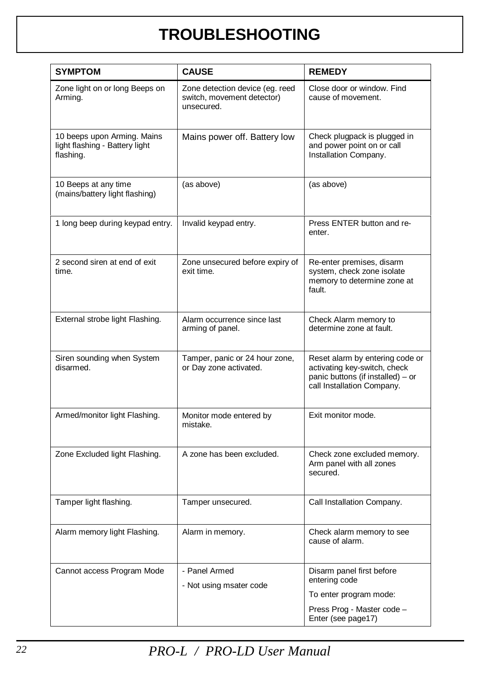#### **TROUBLESHOOTING**

<span id="page-20-0"></span>

| <b>SYMPTOM</b>                                                             | <b>CAUSE</b>                                                                | <b>REMEDY</b>                                                                                                                      |  |
|----------------------------------------------------------------------------|-----------------------------------------------------------------------------|------------------------------------------------------------------------------------------------------------------------------------|--|
| Zone light on or long Beeps on<br>Arming.                                  | Zone detection device (eg. reed<br>switch, movement detector)<br>unsecured. | Close door or window. Find<br>cause of movement.                                                                                   |  |
| 10 beeps upon Arming. Mains<br>light flashing - Battery light<br>flashing. | Mains power off. Battery low                                                | Check plugpack is plugged in<br>and power point on or call<br>Installation Company.                                                |  |
| 10 Beeps at any time<br>(mains/battery light flashing)                     | (as above)                                                                  | (as above)                                                                                                                         |  |
| 1 long beep during keypad entry.                                           | Invalid keypad entry.                                                       | Press ENTER button and re-<br>enter.                                                                                               |  |
| 2 second siren at end of exit<br>time.                                     | Zone unsecured before expiry of<br>exit time.                               | Re-enter premises, disarm<br>system, check zone isolate<br>memory to determine zone at<br>fault.                                   |  |
| External strobe light Flashing.                                            | Alarm occurrence since last<br>arming of panel.                             | Check Alarm memory to<br>determine zone at fault.                                                                                  |  |
| Siren sounding when System<br>disarmed                                     | Tamper, panic or 24 hour zone,<br>or Day zone activated.                    | Reset alarm by entering code or<br>activating key-switch, check<br>panic buttons (if installed) - or<br>call Installation Company. |  |
| Armed/monitor light Flashing.                                              | Monitor mode entered by<br>mistake.                                         | Exit monitor mode.                                                                                                                 |  |
| Zone Excluded light Flashing.                                              | A zone has been excluded.                                                   | Check zone excluded memory.<br>Arm panel with all zones<br>secured.                                                                |  |
| Tamper light flashing.                                                     | Tamper unsecured.                                                           | Call Installation Company.                                                                                                         |  |
| Alarm memory light Flashing.                                               | Alarm in memory.                                                            | Check alarm memory to see<br>cause of alarm.                                                                                       |  |
| Cannot access Program Mode                                                 | - Panel Armed<br>- Not using msater code                                    | Disarm panel first before<br>entering code<br>To enter program mode:<br>Press Prog - Master code -                                 |  |
|                                                                            |                                                                             | Enter (see page17)                                                                                                                 |  |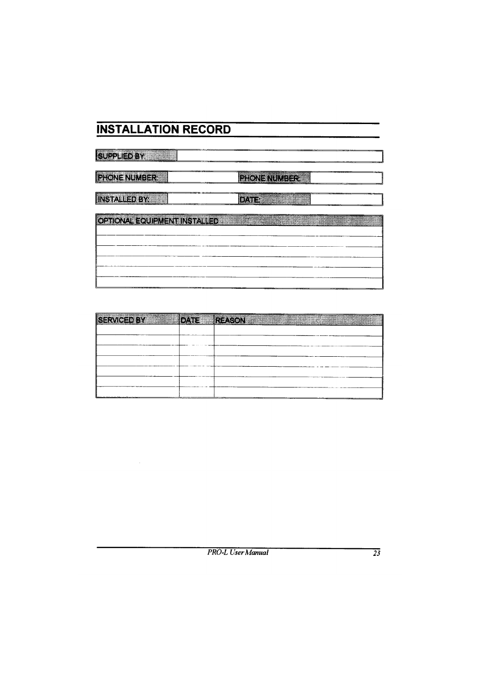### **INSTALLATION RECORD**

# **SUPPLIE: NAME** Eacon annual case **BEEN ENDING: INSIALE SYSTEM Property Little Property** GENONAE COURNEARING PARED

| 鯵<br><b>AERRY</b> |                | <b>FOCACCIN</b> |                                                                                                                |  |
|-------------------|----------------|-----------------|----------------------------------------------------------------------------------------------------------------|--|
|                   | <b>Control</b> |                 | a a che a conserva del conservación de conservación de conservación de conservación de conservación de conserv |  |
|                   |                |                 |                                                                                                                |  |
|                   |                |                 |                                                                                                                |  |
|                   |                |                 |                                                                                                                |  |
|                   |                |                 |                                                                                                                |  |
|                   |                |                 |                                                                                                                |  |
|                   |                |                 |                                                                                                                |  |
|                   |                |                 |                                                                                                                |  |
|                   |                |                 |                                                                                                                |  |
|                   |                |                 |                                                                                                                |  |
|                   |                |                 |                                                                                                                |  |
|                   |                |                 |                                                                                                                |  |
|                   |                |                 |                                                                                                                |  |
|                   |                |                 |                                                                                                                |  |
|                   |                |                 |                                                                                                                |  |
|                   |                |                 |                                                                                                                |  |
|                   |                |                 |                                                                                                                |  |
|                   |                |                 |                                                                                                                |  |
|                   |                |                 |                                                                                                                |  |
|                   |                |                 |                                                                                                                |  |
|                   |                |                 |                                                                                                                |  |
|                   |                |                 |                                                                                                                |  |
|                   |                |                 |                                                                                                                |  |
|                   |                |                 |                                                                                                                |  |
|                   |                |                 |                                                                                                                |  |
|                   |                |                 |                                                                                                                |  |
|                   |                |                 |                                                                                                                |  |
|                   |                |                 |                                                                                                                |  |
|                   |                |                 |                                                                                                                |  |
|                   |                |                 |                                                                                                                |  |
|                   |                |                 |                                                                                                                |  |
|                   |                |                 |                                                                                                                |  |
|                   |                |                 |                                                                                                                |  |
|                   |                |                 |                                                                                                                |  |
|                   |                |                 |                                                                                                                |  |
|                   |                |                 | $\sim$                                                                                                         |  |